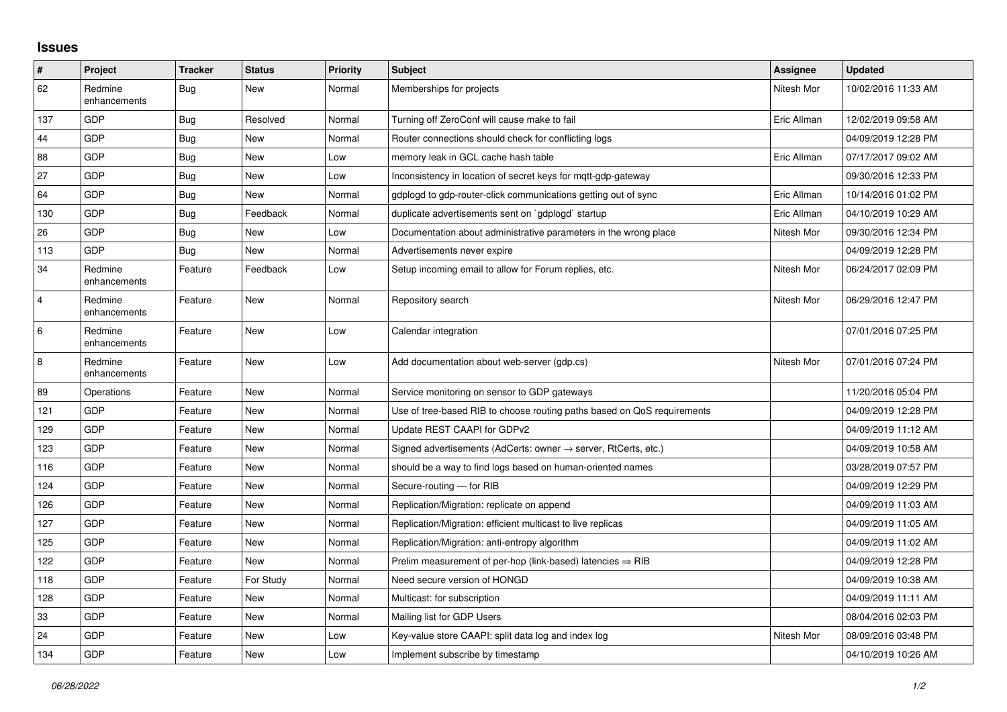## **Issues**

| $\vert$ #      | Project                 | <b>Tracker</b> | <b>Status</b> | <b>Priority</b> | <b>Subject</b>                                                          | Assignee    | <b>Updated</b>      |
|----------------|-------------------------|----------------|---------------|-----------------|-------------------------------------------------------------------------|-------------|---------------------|
| 62             | Redmine<br>enhancements | Bug            | <b>New</b>    | Normal          | Memberships for projects                                                | Nitesh Mor  | 10/02/2016 11:33 AM |
| 137            | <b>GDP</b>              | Bug            | Resolved      | Normal          | Turning off ZeroConf will cause make to fail                            | Eric Allman | 12/02/2019 09:58 AM |
| 44             | GDP                     | Bug            | <b>New</b>    | Normal          | Router connections should check for conflicting logs                    |             | 04/09/2019 12:28 PM |
| 88             | GDP                     | Bug            | <b>New</b>    | Low             | memory leak in GCL cache hash table                                     | Eric Allman | 07/17/2017 09:02 AM |
| $27\,$         | <b>GDP</b>              | <b>Bug</b>     | <b>New</b>    | Low             | Inconsistency in location of secret keys for mqtt-gdp-gateway           |             | 09/30/2016 12:33 PM |
| 64             | <b>GDP</b>              | Bug            | <b>New</b>    | Normal          | gdplogd to gdp-router-click communications getting out of sync          | Eric Allman | 10/14/2016 01:02 PM |
| 130            | GDP                     | <b>Bug</b>     | Feedback      | Normal          | duplicate advertisements sent on 'gdplogd' startup                      | Eric Allman | 04/10/2019 10:29 AM |
| 26             | <b>GDP</b>              | Bug            | <b>New</b>    | Low             | Documentation about administrative parameters in the wrong place        | Nitesh Mor  | 09/30/2016 12:34 PM |
| 113            | <b>GDP</b>              | Bug            | New           | Normal          | Advertisements never expire                                             |             | 04/09/2019 12:28 PM |
| 34             | Redmine<br>enhancements | Feature        | Feedback      | Low             | Setup incoming email to allow for Forum replies, etc.                   | Nitesh Mor  | 06/24/2017 02:09 PM |
| $\overline{4}$ | Redmine<br>enhancements | Feature        | <b>New</b>    | Normal          | Repository search                                                       | Nitesh Mor  | 06/29/2016 12:47 PM |
| 6              | Redmine<br>enhancements | Feature        | <b>New</b>    | Low             | Calendar integration                                                    |             | 07/01/2016 07:25 PM |
| $\,8\,$        | Redmine<br>enhancements | Feature        | <b>New</b>    | Low             | Add documentation about web-server (gdp.cs)                             | Nitesh Mor  | 07/01/2016 07:24 PM |
| 89             | Operations              | Feature        | <b>New</b>    | Normal          | Service monitoring on sensor to GDP gateways                            |             | 11/20/2016 05:04 PM |
| 121            | GDP                     | Feature        | <b>New</b>    | Normal          | Use of tree-based RIB to choose routing paths based on QoS requirements |             | 04/09/2019 12:28 PM |
| 129            | GDP                     | Feature        | <b>New</b>    | Normal          | Update REST CAAPI for GDPv2                                             |             | 04/09/2019 11:12 AM |
| 123            | <b>GDP</b>              | Feature        | <b>New</b>    | Normal          | Signed advertisements (AdCerts: owner → server, RtCerts, etc.)          |             | 04/09/2019 10:58 AM |
| 116            | GDP                     | Feature        | <b>New</b>    | Normal          | should be a way to find logs based on human-oriented names              |             | 03/28/2019 07:57 PM |
| 124            | <b>GDP</b>              | Feature        | <b>New</b>    | Normal          | Secure-routing - for RIB                                                |             | 04/09/2019 12:29 PM |
| 126            | <b>GDP</b>              | Feature        | <b>New</b>    | Normal          | Replication/Migration: replicate on append                              |             | 04/09/2019 11:03 AM |
| 127            | GDP                     | Feature        | <b>New</b>    | Normal          | Replication/Migration: efficient multicast to live replicas             |             | 04/09/2019 11:05 AM |
| 125            | GDP                     | Feature        | <b>New</b>    | Normal          | Replication/Migration: anti-entropy algorithm                           |             | 04/09/2019 11:02 AM |
| 122            | <b>GDP</b>              | Feature        | New           | Normal          | Prelim measurement of per-hop (link-based) latencies $\Rightarrow$ RIB  |             | 04/09/2019 12:28 PM |
| 118            | GDP                     | Feature        | For Study     | Normal          | Need secure version of HONGD                                            |             | 04/09/2019 10:38 AM |
| 128            | <b>GDP</b>              | Feature        | <b>New</b>    | Normal          | Multicast: for subscription                                             |             | 04/09/2019 11:11 AM |
| 33             | <b>GDP</b>              | Feature        | New           | Normal          | Mailing list for GDP Users                                              |             | 08/04/2016 02:03 PM |
| 24             | GDP                     | Feature        | <b>New</b>    | Low             | Key-value store CAAPI: split data log and index log                     | Nitesh Mor  | 08/09/2016 03:48 PM |
| 134            | GDP                     | Feature        | <b>New</b>    | Low             | Implement subscribe by timestamp                                        |             | 04/10/2019 10:26 AM |